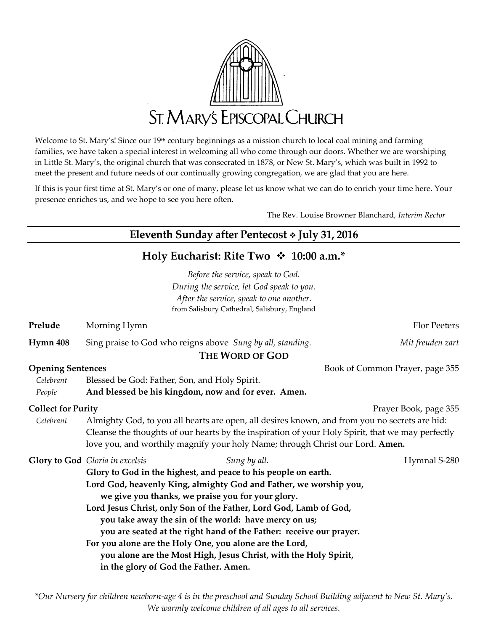

Welcome to St. Mary's! Since our 19<sup>th</sup> century beginnings as a mission church to local coal mining and farming families, we have taken a special interest in welcoming all who come through our doors. Whether we are worshiping in Little St. Mary's, the original church that was consecrated in 1878, or New St. Mary's, which was built in 1992 to meet the present and future needs of our continually growing congregation, we are glad that you are here.

If this is your first time at St. Mary's or one of many, please let us know what we can do to enrich your time here. Your presence enriches us, and we hope to see you here often.

The Rev. Louise Browner Blanchard, *Interim Rector*

# **Eleventh Sunday after Pentecost July 31, 2016**

# **Holy Eucharist: Rite Two 10:00 a.m.\***

*Before the service, speak to God. During the service, let God speak to you. After the service, speak to one another.* from Salisbury Cathedral, Salisbury, England

| Prelude                                                          | Morning Hymn                                                                                                                                                                                                                                                                       | <b>Flor Peeters</b>             |  |  |  |
|------------------------------------------------------------------|------------------------------------------------------------------------------------------------------------------------------------------------------------------------------------------------------------------------------------------------------------------------------------|---------------------------------|--|--|--|
| Hymn 408                                                         | Sing praise to God who reigns above Sung by all, standing.                                                                                                                                                                                                                         | Mit freuden zart                |  |  |  |
|                                                                  | THE WORD OF GOD                                                                                                                                                                                                                                                                    |                                 |  |  |  |
| <b>Opening Sentences</b>                                         |                                                                                                                                                                                                                                                                                    | Book of Common Prayer, page 355 |  |  |  |
| Celebrant                                                        | Blessed be God: Father, Son, and Holy Spirit.                                                                                                                                                                                                                                      |                                 |  |  |  |
| People                                                           | And blessed be his kingdom, now and for ever. Amen.                                                                                                                                                                                                                                |                                 |  |  |  |
|                                                                  | <b>Collect for Purity</b><br>Prayer Book, page 355                                                                                                                                                                                                                                 |                                 |  |  |  |
| Celebrant                                                        | Almighty God, to you all hearts are open, all desires known, and from you no secrets are hid:<br>Cleanse the thoughts of our hearts by the inspiration of your Holy Spirit, that we may perfectly<br>love you, and worthily magnify your holy Name; through Christ our Lord. Amen. |                                 |  |  |  |
|                                                                  | <b>Glory to God</b> Gloria in excelsis<br>Sung by all.                                                                                                                                                                                                                             | Hymnal S-280                    |  |  |  |
|                                                                  | Glory to God in the highest, and peace to his people on earth.                                                                                                                                                                                                                     |                                 |  |  |  |
|                                                                  | Lord God, heavenly King, almighty God and Father, we worship you,                                                                                                                                                                                                                  |                                 |  |  |  |
|                                                                  | we give you thanks, we praise you for your glory.                                                                                                                                                                                                                                  |                                 |  |  |  |
|                                                                  | Lord Jesus Christ, only Son of the Father, Lord God, Lamb of God,                                                                                                                                                                                                                  |                                 |  |  |  |
|                                                                  | you take away the sin of the world: have mercy on us;                                                                                                                                                                                                                              |                                 |  |  |  |
|                                                                  | you are seated at the right hand of the Father: receive our prayer.                                                                                                                                                                                                                |                                 |  |  |  |
| For you alone are the Holy One, you alone are the Lord,          |                                                                                                                                                                                                                                                                                    |                                 |  |  |  |
| you alone are the Most High, Jesus Christ, with the Holy Spirit, |                                                                                                                                                                                                                                                                                    |                                 |  |  |  |
|                                                                  | in the glory of God the Father. Amen.                                                                                                                                                                                                                                              |                                 |  |  |  |

*\*Our Nursery for children newborn-age 4 is in the preschool and Sunday School Building adjacent to New St. Mary's. We warmly welcome children of all ages to all services.*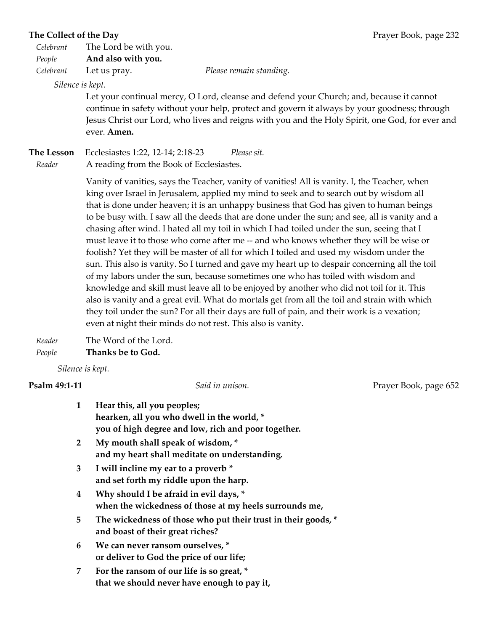## **The Collect of the Day** Prayer Book, page 232

| THE CONCLUT THE DAY  |                                                                               | TTayet DOON, page 202                                                                                                                                                                                                                                                                                                                                                                                                                                                                                                                                                                                                                                                                                                                                                    |
|----------------------|-------------------------------------------------------------------------------|--------------------------------------------------------------------------------------------------------------------------------------------------------------------------------------------------------------------------------------------------------------------------------------------------------------------------------------------------------------------------------------------------------------------------------------------------------------------------------------------------------------------------------------------------------------------------------------------------------------------------------------------------------------------------------------------------------------------------------------------------------------------------|
| Celebrant            | The Lord be with you.                                                         |                                                                                                                                                                                                                                                                                                                                                                                                                                                                                                                                                                                                                                                                                                                                                                          |
| People               | And also with you.                                                            |                                                                                                                                                                                                                                                                                                                                                                                                                                                                                                                                                                                                                                                                                                                                                                          |
| Celebrant            | Let us pray.                                                                  | Please remain standing.                                                                                                                                                                                                                                                                                                                                                                                                                                                                                                                                                                                                                                                                                                                                                  |
|                      | Silence is kept.                                                              |                                                                                                                                                                                                                                                                                                                                                                                                                                                                                                                                                                                                                                                                                                                                                                          |
|                      | ever. Amen.                                                                   | Let your continual mercy, O Lord, cleanse and defend your Church; and, because it cannot<br>continue in safety without your help, protect and govern it always by your goodness; through<br>Jesus Christ our Lord, who lives and reigns with you and the Holy Spirit, one God, for ever and                                                                                                                                                                                                                                                                                                                                                                                                                                                                              |
| The Lesson<br>Reader | Ecclesiastes 1:22, 12-14; 2:18-23<br>A reading from the Book of Ecclesiastes. | Please sit.                                                                                                                                                                                                                                                                                                                                                                                                                                                                                                                                                                                                                                                                                                                                                              |
|                      |                                                                               | Vanity of vanities, says the Teacher, vanity of vanities! All is vanity. I, the Teacher, when<br>king over Israel in Jerusalem, applied my mind to seek and to search out by wisdom all<br>that is done under heaven; it is an unhappy business that God has given to human beings<br>to be busy with. I saw all the deeds that are done under the sun; and see, all is vanity and a<br>chasing after wind. I hated all my toil in which I had toiled under the sun, seeing that I<br>must leave it to those who come after me -- and who knows whether they will be wise or<br>foolish? Yet they will be master of all for which I toiled and used my wisdom under the<br>sun. This also is vanity. So I turned and gave my heart up to despair concerning all the toil |

of my labors under the sun, because sometimes one who has toiled with wisdom and knowledge and skill must leave all to be enjoyed by another who did not toil for it. This also is vanity and a great evil. What do mortals get from all the toil and strain with which they toil under the sun? For all their days are full of pain, and their work is a vexation;

*Reader* The Word of the Lord. *People* **Thanks be to God.**

*Silence is kept.*

**Psalm 49:1-11** *Said in unison.* Prayer Book, page 652

**1 Hear this, all you peoples; hearken, all you who dwell in the world, \* you of high degree and low, rich and poor together.**

even at night their minds do not rest. This also is vanity.

- **2 My mouth shall speak of wisdom, \* and my heart shall meditate on understanding.**
- **3 I will incline my ear to a proverb \* and set forth my riddle upon the harp.**
- **4 Why should I be afraid in evil days, \* when the wickedness of those at my heels surrounds me,**
- **5 The wickedness of those who put their trust in their goods, \* and boast of their great riches?**
- **6 We can never ransom ourselves, \* or deliver to God the price of our life;**
- **7 For the ransom of our life is so great, \* that we should never have enough to pay it,**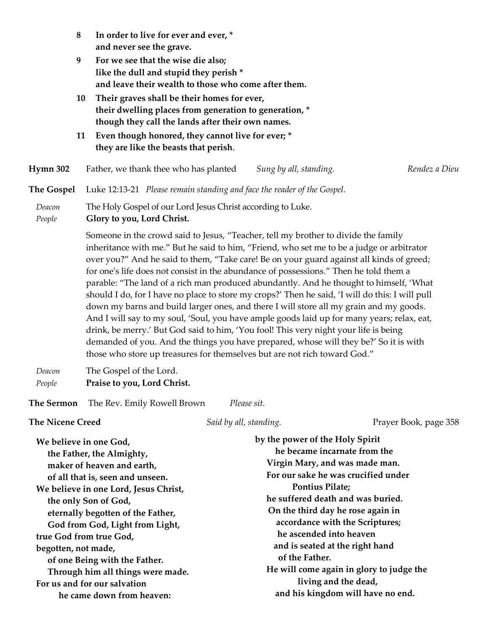|                         | $\bf 8$ | In order to live for ever and ever, *<br>and never see the grave.                                                                                                                                                                                                                                                                                                                                                                                                                                                                                                                                                                                                                                                                                                                                                                                                                                                                 |                        |                        |                                                                                                                                                                    |                       |
|-------------------------|---------|-----------------------------------------------------------------------------------------------------------------------------------------------------------------------------------------------------------------------------------------------------------------------------------------------------------------------------------------------------------------------------------------------------------------------------------------------------------------------------------------------------------------------------------------------------------------------------------------------------------------------------------------------------------------------------------------------------------------------------------------------------------------------------------------------------------------------------------------------------------------------------------------------------------------------------------|------------------------|------------------------|--------------------------------------------------------------------------------------------------------------------------------------------------------------------|-----------------------|
|                         | 9       | For we see that the wise die also;<br>like the dull and stupid they perish *<br>and leave their wealth to those who come after them.                                                                                                                                                                                                                                                                                                                                                                                                                                                                                                                                                                                                                                                                                                                                                                                              |                        |                        |                                                                                                                                                                    |                       |
|                         | 10      | Their graves shall be their homes for ever,<br>their dwelling places from generation to generation,*<br>though they call the lands after their own names.                                                                                                                                                                                                                                                                                                                                                                                                                                                                                                                                                                                                                                                                                                                                                                         |                        |                        |                                                                                                                                                                    |                       |
|                         | 11      | Even though honored, they cannot live for ever; *<br>they are like the beasts that perish.                                                                                                                                                                                                                                                                                                                                                                                                                                                                                                                                                                                                                                                                                                                                                                                                                                        |                        |                        |                                                                                                                                                                    |                       |
| <b>Hymn 302</b>         |         | Father, we thank thee who has planted                                                                                                                                                                                                                                                                                                                                                                                                                                                                                                                                                                                                                                                                                                                                                                                                                                                                                             |                        | Sung by all, standing. |                                                                                                                                                                    | Rendez a Dieu         |
| The Gospel              |         | Luke 12:13-21 Please remain standing and face the reader of the Gospel.                                                                                                                                                                                                                                                                                                                                                                                                                                                                                                                                                                                                                                                                                                                                                                                                                                                           |                        |                        |                                                                                                                                                                    |                       |
| Deacon<br>People        |         | The Holy Gospel of our Lord Jesus Christ according to Luke.<br>Glory to you, Lord Christ.                                                                                                                                                                                                                                                                                                                                                                                                                                                                                                                                                                                                                                                                                                                                                                                                                                         |                        |                        |                                                                                                                                                                    |                       |
|                         |         | inheritance with me." But he said to him, "Friend, who set me to be a judge or arbitrator<br>over you?" And he said to them, "Take care! Be on your guard against all kinds of greed;<br>for one's life does not consist in the abundance of possessions." Then he told them a<br>parable: "The land of a rich man produced abundantly. And he thought to himself, 'What<br>should I do, for I have no place to store my crops?' Then he said, 'I will do this: I will pull<br>down my barns and build larger ones, and there I will store all my grain and my goods.<br>And I will say to my soul, 'Soul, you have ample goods laid up for many years; relax, eat,<br>drink, be merry.' But God said to him, 'You fool! This very night your life is being<br>demanded of you. And the things you have prepared, whose will they be?' So it is with<br>those who store up treasures for themselves but are not rich toward God." |                        |                        |                                                                                                                                                                    |                       |
| Deacon<br>People        |         | The Gospel of the Lord.<br>Praise to you, Lord Christ.                                                                                                                                                                                                                                                                                                                                                                                                                                                                                                                                                                                                                                                                                                                                                                                                                                                                            |                        |                        |                                                                                                                                                                    |                       |
| The Sermon              |         | The Rev. Emily Rowell Brown                                                                                                                                                                                                                                                                                                                                                                                                                                                                                                                                                                                                                                                                                                                                                                                                                                                                                                       | Please sit.            |                        |                                                                                                                                                                    |                       |
| <b>The Nicene Creed</b> |         |                                                                                                                                                                                                                                                                                                                                                                                                                                                                                                                                                                                                                                                                                                                                                                                                                                                                                                                                   | Said by all, standing. |                        |                                                                                                                                                                    | Prayer Book, page 358 |
| We believe in one God,  |         | the Father, the Almighty,<br>maker of heaven and earth,<br>of all that is, seen and unseen.<br>We believe in one Lord, Jesus Christ,                                                                                                                                                                                                                                                                                                                                                                                                                                                                                                                                                                                                                                                                                                                                                                                              |                        |                        | by the power of the Holy Spirit<br>he became incarnate from the<br>Virgin Mary, and was made man.<br>For our sake he was crucified under<br><b>Pontius Pilate;</b> |                       |
|                         |         | the only Son of God,<br>eternally begotten of the Father,<br>God from God, Light from Light,<br>true God from true God,                                                                                                                                                                                                                                                                                                                                                                                                                                                                                                                                                                                                                                                                                                                                                                                                           |                        |                        | he suffered death and was buried.<br>On the third day he rose again in<br>accordance with the Scriptures;<br>he ascended into heaven                               |                       |
| begotten, not made,     |         |                                                                                                                                                                                                                                                                                                                                                                                                                                                                                                                                                                                                                                                                                                                                                                                                                                                                                                                                   |                        |                        | and is seated at the right hand                                                                                                                                    |                       |
|                         |         | of one Being with the Father.                                                                                                                                                                                                                                                                                                                                                                                                                                                                                                                                                                                                                                                                                                                                                                                                                                                                                                     |                        |                        | of the Father.<br>He will come again in glory to judge the                                                                                                         |                       |
|                         |         | Through him all things were made.<br>For us and for our salvation                                                                                                                                                                                                                                                                                                                                                                                                                                                                                                                                                                                                                                                                                                                                                                                                                                                                 |                        |                        | living and the dead,                                                                                                                                               |                       |

 **and his kingdom will have no end.** 

 **he came down from heaven:**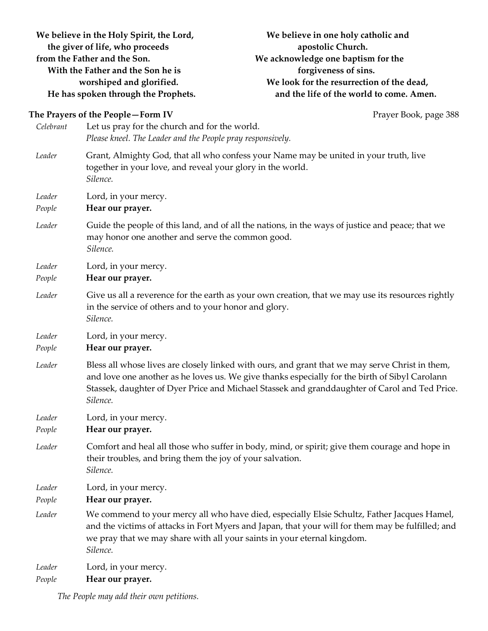**We believe in the Holy Spirit, the Lord, the giver of life, who proceeds from the Father and the Son. With the Father and the Son he is worshiped and glorified. He has spoken through the Prophets.**

**We believe in one holy catholic and apostolic Church. We acknowledge one baptism for the forgiveness of sins. We look for the resurrection of the dead, and the life of the world to come. Amen.**

# **The Prayers of the People—Form IV** Prayer Book, page 388 *Celebrant* Let us pray for the church and for the world. *Please kneel. The Leader and the People pray responsively. Leader* Grant, Almighty God, that all who confess your Name may be united in your truth, live together in your love, and reveal your glory in the world. *Silence. Leader* Lord, in your mercy. *People* **Hear our prayer.** *Leader* Guide the people of this land, and of all the nations, in the ways of justice and peace; that we may honor one another and serve the common good. *Silence. Leader* Lord, in your mercy. *People* **Hear our prayer.** *Leader* Give us all a reverence for the earth as your own creation, that we may use its resources rightly in the service of others and to your honor and glory. *Silence. Leader* Lord, in your mercy. *People* **Hear our prayer.** *Leader* Bless all whose lives are closely linked with ours, and grant that we may serve Christ in them, and love one another as he loves us. We give thanks especially for the birth of Sibyl Carolann Stassek, daughter of Dyer Price and Michael Stassek and granddaughter of Carol and Ted Price. *Silence. Leader* Lord, in your mercy. *People* **Hear our prayer.** *Leader* Comfort and heal all those who suffer in body, mind, or spirit; give them courage and hope in their troubles, and bring them the joy of your salvation. *Silence. Leader* Lord, in your mercy. *People* **Hear our prayer.** *Leader* We commend to your mercy all who have died, especially Elsie Schultz, Father Jacques Hamel, and the victims of attacks in Fort Myers and Japan, that your will for them may be fulfilled; and we pray that we may share with all your saints in your eternal kingdom. *Silence. Leader* Lord, in your mercy.

*People* **Hear our prayer.**

*The People may add their own petitions.*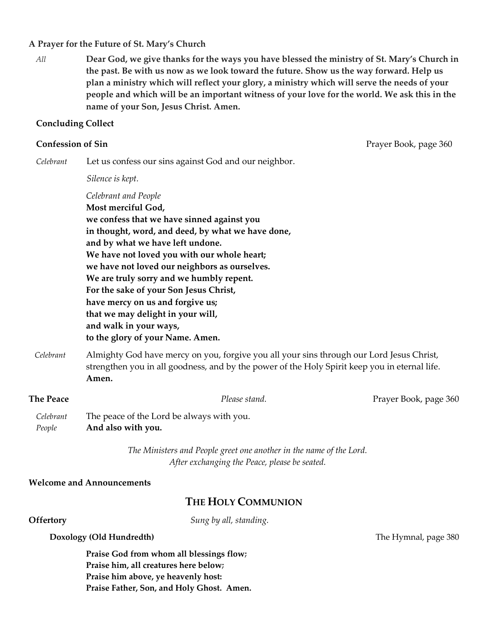### **A Prayer for the Future of St. Mary's Church**

*All* **Dear God, we give thanks for the ways you have blessed the ministry of St. Mary's Church in the past. Be with us now as we look toward the future. Show us the way forward. Help us plan a ministry which will reflect your glory, a ministry which will serve the needs of your people and which will be an important witness of your love for the world. We ask this in the name of your Son, Jesus Christ. Amen.**

#### **Concluding Collect**

**Confession of Sin** Prayer Book, page 360

*Celebrant* Let us confess our sins against God and our neighbor.

*Silence is kept. Celebrant and People* **Most merciful God, we confess that we have sinned against you in thought, word, and deed, by what we have done, and by what we have left undone. We have not loved you with our whole heart; we have not loved our neighbors as ourselves. We are truly sorry and we humbly repent. For the sake of your Son Jesus Christ, have mercy on us and forgive us; that we may delight in your will, and walk in your ways, to the glory of your Name. Amen.**

 *Celebrant* Almighty God have mercy on you, forgive you all your sins through our Lord Jesus Christ, strengthen you in all goodness, and by the power of the Holy Spirit keep you in eternal life. **Amen.**

| <b>The Peace</b>    | Please stand.                                                   | Prayer Book, page 360 |
|---------------------|-----------------------------------------------------------------|-----------------------|
| Celebrant<br>People | The peace of the Lord be always with you.<br>And also with you. |                       |

*The Ministers and People greet one another in the name of the Lord. After exchanging the Peace, please be seated.*

#### **Welcome and Announcements**

### **THE HOLY COMMUNION**

**Offertory** *Sung by all, standing.*

 **Doxology (Old Hundredth)**The Hymnal, page 380

**Praise God from whom all blessings flow; Praise him, all creatures here below; Praise him above, ye heavenly host: Praise Father, Son, and Holy Ghost. Amen.**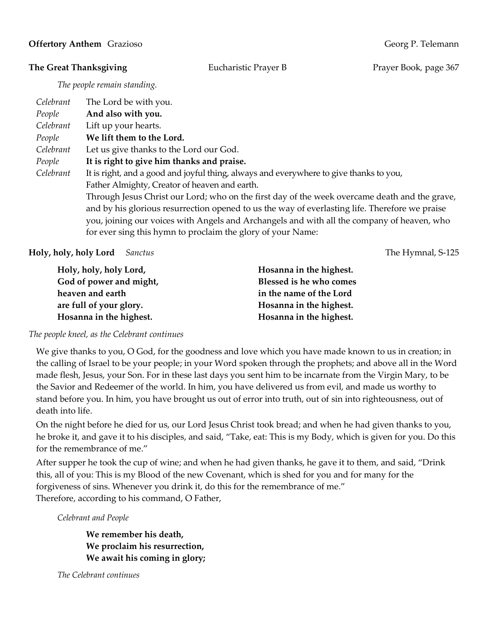### **Offertory Anthem** Grazioso **Georg P. Telemann**

**The Great Thanksgiving The Great Thanksgiving The Great Thanksgiving Eucharistic Prayer B Prayer Book, page 367** 

*The people remain standing.*

| Celebrant | The Lord be with you.                                                                          |  |  |
|-----------|------------------------------------------------------------------------------------------------|--|--|
| People    | And also with you.                                                                             |  |  |
| Celebrant | Lift up your hearts.                                                                           |  |  |
| People    | We lift them to the Lord.                                                                      |  |  |
| Celebrant | Let us give thanks to the Lord our God.                                                        |  |  |
| People    | It is right to give him thanks and praise.                                                     |  |  |
| Celebrant | It is right, and a good and joyful thing, always and everywhere to give thanks to you,         |  |  |
|           | Father Almighty, Creator of heaven and earth.                                                  |  |  |
|           | Through Jesus Christ our Lord; who on the first day of the week overcame death and the grave,  |  |  |
|           | and by his glorious resurrection opened to us the way of everlasting life. Therefore we praise |  |  |
|           | you, joining our voices with Angels and Archangels and with all the company of heaven, who     |  |  |
|           | for ever sing this hymn to proclaim the glory of your Name:                                    |  |  |

**Holy, holy, holy Lord** *Sanctus* The Hymnal, S-125

| Holy, holy, holy Lord,  | Hosanna in the highest. |
|-------------------------|-------------------------|
| God of power and might, | Blessed is he who comes |
| heaven and earth        | in the name of the Lord |
| are full of your glory. | Hosanna in the highest. |
| Hosanna in the highest. | Hosanna in the highest. |

*The people kneel, as the Celebrant continues*

We give thanks to you, O God, for the goodness and love which you have made known to us in creation; in the calling of Israel to be your people; in your Word spoken through the prophets; and above all in the Word made flesh, Jesus, your Son. For in these last days you sent him to be incarnate from the Virgin Mary, to be the Savior and Redeemer of the world. In him, you have delivered us from evil, and made us worthy to stand before you. In him, you have brought us out of error into truth, out of sin into righteousness, out of death into life.

On the night before he died for us, our Lord Jesus Christ took bread; and when he had given thanks to you, he broke it, and gave it to his disciples, and said, "Take, eat: This is my Body, which is given for you. Do this for the remembrance of me."

After supper he took the cup of wine; and when he had given thanks, he gave it to them, and said, "Drink this, all of you: This is my Blood of the new Covenant, which is shed for you and for many for the forgiveness of sins. Whenever you drink it, do this for the remembrance of me." Therefore, according to his command, O Father,

*Celebrant and People*

**We remember his death, We proclaim his resurrection, We await his coming in glory;**

*The Celebrant continues*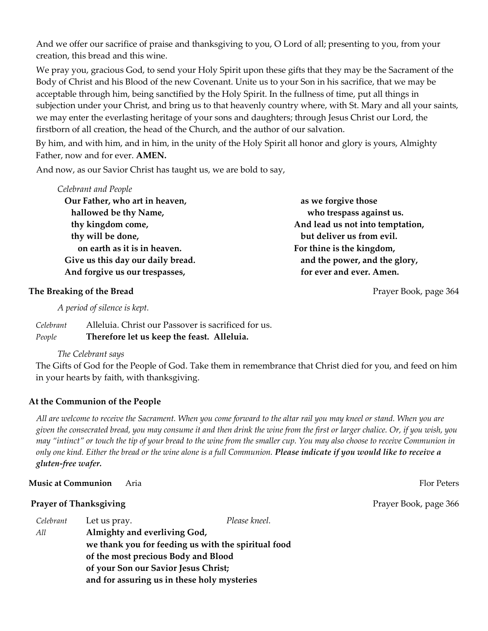And we offer our sacrifice of praise and thanksgiving to you, O Lord of all; presenting to you, from your creation, this bread and this wine.

We pray you, gracious God, to send your Holy Spirit upon these gifts that they may be the Sacrament of the Body of Christ and his Blood of the new Covenant. Unite us to your Son in his sacrifice, that we may be acceptable through him, being sanctified by the Holy Spirit. In the fullness of time, put all things in subjection under your Christ, and bring us to that heavenly country where, with St. Mary and all your saints, we may enter the everlasting heritage of your sons and daughters; through Jesus Christ our Lord, the firstborn of all creation, the head of the Church, and the author of our salvation.

By him, and with him, and in him, in the unity of the Holy Spirit all honor and glory is yours, Almighty Father, now and for ever. **AMEN.**

And now, as our Savior Christ has taught us, we are bold to say,

| Celebrant and People              |                                  |
|-----------------------------------|----------------------------------|
| Our Father, who art in heaven,    | as we forgive those              |
| hallowed be thy Name,             | who trespass against us.         |
| thy kingdom come,                 | And lead us not into temptation, |
| thy will be done,                 | but deliver us from evil.        |
| on earth as it is in heaven.      | For thine is the kingdom,        |
| Give us this day our daily bread. | and the power, and the glory,    |
| And forgive us our trespasses,    | for ever and ever. Amen.         |

### **The Breaking of the Bread** *Prayer Book***, page 364**

*A period of silence is kept.*

*Celebrant* Alleluia. Christ our Passover is sacrificed for us. *People* **Therefore let us keep the feast. Alleluia.**

#### *The Celebrant says*

The Gifts of God for the People of God. Take them in remembrance that Christ died for you, and feed on him in your hearts by faith, with thanksgiving.

### **At the Communion of the People**

*All are welcome to receive the Sacrament. When you come forward to the altar rail you may kneel or stand. When you are given the consecrated bread, you may consume it and then drink the wine from the first or larger chalice. Or, if you wish, you may "intinct" or touch the tip of your bread to the wine from the smaller cup. You may also choose to receive Communion in only one kind. Either the bread or the wine alone is a full Communion. Please indicate if you would like to receive a gluten-free wafer.*

#### **Music at Communion** Aria Flore Aria Flore Aria Flore Aria Flore Aria Flore Peters

### **Prayer of Thanksgiving**  Prayer Book, page 366

*Celebrant* Let us pray. *Please kneel. All* **Almighty and everliving God, we thank you for feeding us with the spiritual food of the most precious Body and Blood of your Son our Savior Jesus Christ; and for assuring us in these holy mysteries**